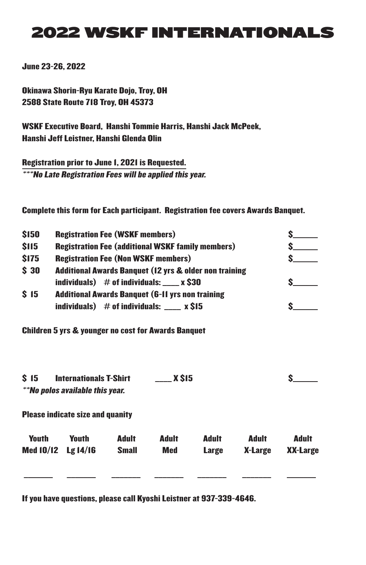## 2022 WSKF INTERNATIONALS

June 23-26, 2022

Okinawa Shorin-Ryu Karate Dojo, Troy, OH 2588 State Route 718 Troy, OH 45373

WSKF Executive Board, Hanshi Tommie Harris, Hanshi Jack McPeek, Hanshi Jeff Leistner, Hanshi Glenda Olin

Registration prior to June 1, 2021 is Requested. \*\*\*No Late Registration Fees will be applied this year.

Complete this form for Each participant. Registration fee covers Awards Banquet.

| \$150       | <b>Registration Fee (WSKF members)</b>                                  |              |              |              |                |                 |  |
|-------------|-------------------------------------------------------------------------|--------------|--------------|--------------|----------------|-----------------|--|
| \$115       | <b>Registration Fee (additional WSKF family members)</b>                |              |              |              |                | S.              |  |
| <b>SI75</b> | <b>Registration Fee (Non WSKF members)</b>                              |              |              |              |                |                 |  |
| \$30        | <b>Additional Awards Banquet (12 yrs &amp; older non training</b>       |              |              |              |                |                 |  |
|             | individuals) $#$ of individuals: ____ x \$30                            |              |              |              |                | S.              |  |
| \$15        | <b>Additional Awards Banquet (6-11 yrs non training</b>                 |              |              |              |                |                 |  |
|             | individuals) $#$ of individuals: $\_\_\_\_$ x \$15                      |              |              |              |                |                 |  |
| S 15        | <b>Internationals T-Shirt</b><br><i>**No polos available this year.</i> |              | <b>X S15</b> |              |                | 2.              |  |
|             | <b>Please indicate size and quanity</b>                                 |              |              |              |                |                 |  |
| Youth       | <b>Youth</b>                                                            | <b>Adult</b> | Adult        | <b>Adult</b> | Adult          | Adult           |  |
|             | Med $10/12$ Lg $14/16$                                                  | <b>Small</b> | Med          | Large        | <b>X-Large</b> | <b>XX-Large</b> |  |
|             |                                                                         |              |              |              |                |                 |  |

If you have questions, please call Kyoshi Leistner at 937-339-4646.